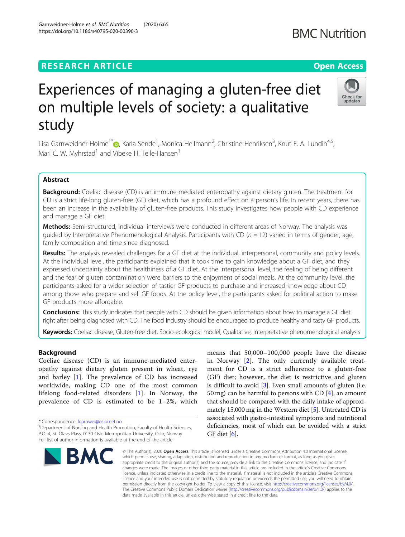### **RESEARCH ARTICLE Example 2014 12:30 The Contract of Contract ACCESS**

# Experiences of managing a gluten-free diet on multiple levels of society: a qualitative study

Lisa Garnweidner-Holme<sup>1[\\*](http://orcid.org/0000-0002-2760-9292)</sup>id, Karla Sende<sup>1</sup>, Monica Hellmann<sup>2</sup>, Christine Henriksen<sup>3</sup>, Knut E. A. Lundin<sup>4,5</sup>, Mari C. W. Myhrstad<sup>1</sup> and Vibeke H. Telle-Hansen<sup>1</sup>

### Abstract

Background: Coeliac disease (CD) is an immune-mediated enteropathy against dietary gluten. The treatment for CD is a strict life-long gluten-free (GF) diet, which has a profound effect on a person's life. In recent years, there has been an increase in the availability of gluten-free products. This study investigates how people with CD experience and manage a GF diet.

Methods: Semi-structured, individual interviews were conducted in different areas of Norway. The analysis was guided by Interpretative Phenomenological Analysis. Participants with CD ( $n = 12$ ) varied in terms of gender, age, family composition and time since diagnosed.

Results: The analysis revealed challenges for a GF diet at the individual, interpersonal, community and policy levels. At the individual level, the participants explained that it took time to gain knowledge about a GF diet, and they expressed uncertainty about the healthiness of a GF diet. At the interpersonal level, the feeling of being different and the fear of gluten contamination were barriers to the enjoyment of social meals. At the community level, the participants asked for a wider selection of tastier GF products to purchase and increased knowledge about CD among those who prepare and sell GF foods. At the policy level, the participants asked for political action to make GF products more affordable.

**Conclusions:** This study indicates that people with CD should be given information about how to manage a GF diet right after being diagnosed with CD. The food industry should be encouraged to produce healthy and tasty GF products.

Keywords: Coeliac disease, Gluten-free diet, Socio-ecological model, Qualitative, Interpretative phenomenological analysis

#### Background

Coeliac disease (CD) is an immune-mediated enteropathy against dietary gluten present in wheat, rye and barley [\[1](#page-5-0)]. The prevalence of CD has increased worldwide, making CD one of the most common lifelong food-related disorders [\[1\]](#page-5-0). In Norway, the prevalence of CD is estimated to be 1–2%, which

\* Correspondence: [lgarnwei@oslomet.no](mailto:lgarnwei@oslomet.no) <sup>1</sup>

**BMC** 

in Norway [\[2](#page-5-0)]. The only currently available treat-

© The Author(s), 2020 **Open Access** This article is licensed under a Creative Commons Attribution 4.0 International License, which permits use, sharing, adaptation, distribution and reproduction in any medium or format, as long as you give appropriate credit to the original author(s) and the source, provide a link to the Creative Commons licence, and indicate if changes were made. The images or other third party material in this article are included in the article's Creative Commons licence, unless indicated otherwise in a credit line to the material. If material is not included in the article's Creative Commons licence and your intended use is not permitted by statutory regulation or exceeds the permitted use, you will need to obtain permission directly from the copyright holder. To view a copy of this licence, visit [http://creativecommons.org/licenses/by/4.0/.](http://creativecommons.org/licenses/by/4.0/) The Creative Commons Public Domain Dedication waiver [\(http://creativecommons.org/publicdomain/zero/1.0/](http://creativecommons.org/publicdomain/zero/1.0/)) applies to the data made available in this article, unless otherwise stated in a credit line to the data.

ment for CD is a strict adherence to a gluten-free (GF) diet; however, the diet is restrictive and gluten is difficult to avoid [\[3\]](#page-5-0). Even small amounts of gluten (i.e. 50 mg) can be harmful to persons with CD  $[4]$  $[4]$ , an amount that should be compared with the daily intake of approximately 15,000 mg in the Western diet [[5](#page-5-0)]. Untreated CD is associated with gastro-intestinal symptoms and nutritional deficiencies, most of which can be avoided with a strict GF diet  $[6]$  $[6]$ .

means that 50,000–100,000 people have the disease





## **BMC Nutrition**

<sup>&</sup>lt;sup>1</sup>Department of Nursing and Health Promotion, Faculty of Health Sciences, P.O. 4, St. Olavs Plass, 0130 Oslo Metropolitan University, Oslo, Norway Full list of author information is available at the end of the article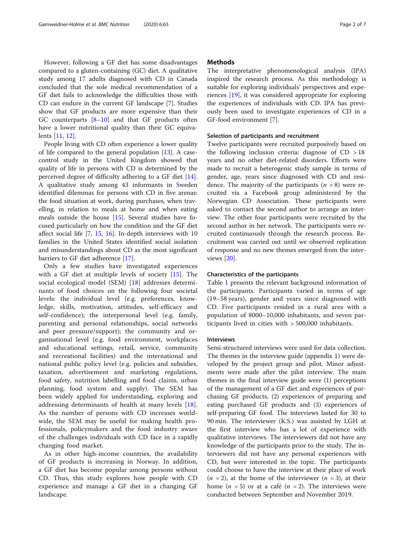However, following a GF diet has some disadvantages compared to a gluten-containing (GC) diet. A qualitative study among 17 adults diagnosed with CD in Canada concluded that the sole medical recommendation of a GF diet fails to acknowledge the difficulties those with CD can endure in the current GF landscape [\[7](#page-6-0)]. Studies show that GF products are more expensive than their GC counterparts [\[8](#page-6-0)–[10\]](#page-6-0) and that GF products often have a lower nutritional quality than their GC equivalents [\[11,](#page-6-0) [12\]](#page-6-0).

People living with CD often experience a lower quality of life compared to the general population [[13\]](#page-6-0). A casecontrol study in the United Kingdom showed that quality of life in persons with CD is determined by the perceived degree of difficulty adhering to a GF diet [\[14](#page-6-0)]. A qualitative study among 43 informants in Sweden identified dilemmas for persons with CD in five arenas: the food situation at work, during purchases, when travelling, in relation to meals at home and when eating meals outside the house [[15\]](#page-6-0). Several studies have focused particularly on how the condition and the GF diet affect social life [[7,](#page-6-0) [15](#page-6-0), [16](#page-6-0)]. In-depth interviews with 10 families in the United States identified social isolation and misunderstandings about CD as the most significant barriers to GF diet adherence [\[17](#page-6-0)].

Only a few studies have investigated experiences with a GF diet at multiple levels of society [[15](#page-6-0)]. The social ecological model (SEM) [[18\]](#page-6-0) addresses determinants of food choices on the following four societal levels: the individual level (e.g. preferences, knowledge, skills, motivation, attitudes, self-efficacy and self-confidence); the interpersonal level (e.g. family, parenting and personal relationships, social networks and peer pressure/support); the community and organisational level (e.g. food environment, workplaces and educational settings, retail, service, community and recreational facilities) and the international and national public policy level (e.g. policies and subsidies, taxation, advertisement and marketing regulations, food safety, nutrition labelling and food claims, urban planning, food system and supply). The SEM has been widely applied for understanding, exploring and addressing determinants of health at many levels [[18](#page-6-0)]. As the number of persons with CD increases worldwide, the SEM may be useful for making health professionals, policymakers and the food industry aware of the challenges individuals with CD face in a rapidly changing food market.

As in other high-income countries, the availability of GF products is increasing in Norway. In addition, a GF diet has become popular among persons without CD. Thus, this study explores how people with CD experience and manage a GF diet in a changing GF landscape.

#### **Methods**

The interpretative phenomenological analysis (IPA) inspired the research process. As this methodology is suitable for exploring individuals' perspectives and experiences [\[19\]](#page-6-0), it was considered appropriate for exploring the experiences of individuals with CD. IPA has previously been used to investigate experiences of CD in a GF-food environment [\[7](#page-6-0)].

#### Selection of participants and recruitment

Twelve participants were recruited purposively based on the following inclusion criteria: diagnose of  $CD > 18$ years and no other diet-related disorders. Efforts were made to recruit a heterogenic study sample in terms of gender, age, years since diagnosed with CD and residence. The majority of the participants  $(n = 8)$  were recruited via a Facebook group administered by the Norwegian CD Association. These participants were asked to contact the second author to arrange an interview. The other four participants were recruited by the second author in her network. The participants were recruited continuously through the research process. Recruitment was carried out until we observed replication of response and no new themes emerged from the interviews [[20\]](#page-6-0).

#### Characteristics of the participants

Table [1](#page-2-0) presents the relevant background information of the participants. Participants varied in terms of age (19–58 years), gender and years since diagnosed with CD. Five participants resided in a rural area with a population of 8000–10,000 inhabitants, and seven participants lived in cities with > 500,000 inhabitants.

#### **Interviews**

Semi-structured interviews were used for data collection. The themes in the interview guide (appendix 1) were developed by the project group and pilot. Minor adjustments were made after the pilot interview. The main themes in the final interview guide were (1) perceptions of the management of a GF diet and experiences of purchasing GF products, (2) experiences of preparing and eating purchased GF products and (3) experiences of self-preparing GF food. The interviews lasted for 30 to 90 min. The interviewer (K.S.) was assisted by LGH at the first interview who has a lot of experience with qualitative interviews. The interviewers did not have any knowledge of the participants prior to the study. The interviewers did not have any personal experiences with CD, but were interested in the topic. The participants could choose to have the interview at their place of work  $(n = 2)$ , at the home of the interviewer  $(n = 3)$ , at their home  $(n = 5)$  or at a café  $(n = 2)$ . The interviews were conducted between September and November 2019.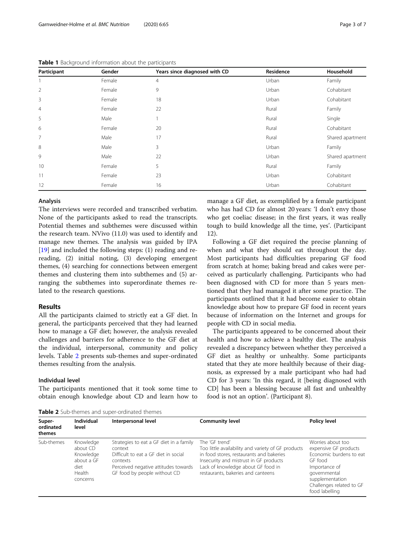| Participant    | Gender | Years since diagnosed with CD | Residence | Household        |
|----------------|--------|-------------------------------|-----------|------------------|
|                | Female | $\overline{4}$                | Urban     | Family           |
| $\overline{2}$ | Female | 9                             | Urban     | Cohabitant       |
| 3              | Female | 18                            | Urban     | Cohabitant       |
| $\overline{4}$ | Female | 22                            | Rural     | Family           |
| 5              | Male   |                               | Rural     | Single           |
| 6              | Female | 20                            | Rural     | Cohabitant       |
| 7              | Male   | 17                            | Rural     | Shared apartment |
| 8              | Male   | 3                             | Urban     | Family           |
| 9              | Male   | 22                            | Urban     | Shared apartment |
| 10             | Female | 5                             | Rural     | Family           |
| 11             | Female | 23                            | Urban     | Cohabitant       |
| 12             | Female | 16                            | Urban     | Cohabitant       |

<span id="page-2-0"></span>Table 1 Background information about the participants

#### Analysis

The interviews were recorded and transcribed verbatim. None of the participants asked to read the transcripts. Potential themes and subthemes were discussed within the research team. NVivo (11.0) was used to identify and manage new themes. The analysis was guided by IPA [[19\]](#page-6-0) and included the following steps: (1) reading and rereading, (2) initial noting, (3) developing emergent themes, (4) searching for connections between emergent themes and clustering them into subthemes and (5) arranging the subthemes into superordinate themes related to the research questions.

#### Results

All the participants claimed to strictly eat a GF diet. In general, the participants perceived that they had learned how to manage a GF diet; however, the analysis revealed challenges and barriers for adherence to the GF diet at the individual, interpersonal, community and policy levels. Table 2 presents sub-themes and super-ordinated themes resulting from the analysis.

#### Individual level

The participants mentioned that it took some time to obtain enough knowledge about CD and learn how to manage a GF diet, as exemplified by a female participant who has had CD for almost 20 years: 'I don't envy those who get coeliac disease; in the first years, it was really tough to build knowledge all the time, yes'. (Participant 12).

Following a GF diet required the precise planning of when and what they should eat throughout the day. Most participants had difficulties preparing GF food from scratch at home; baking bread and cakes were perceived as particularly challenging. Participants who had been diagnosed with CD for more than 5 years mentioned that they had managed it after some practice. The participants outlined that it had become easier to obtain knowledge about how to prepare GF food in recent years because of information on the Internet and groups for people with CD in social media.

The participants appeared to be concerned about their health and how to achieve a healthy diet. The analysis revealed a discrepancy between whether they perceived a GF diet as healthy or unhealthy. Some participants stated that they ate more healthily because of their diagnosis, as expressed by a male participant who had had CD for 3 years: 'In this regard, it [being diagnosed with CD] has been a blessing because all fast and unhealthy food is not an option'. (Participant 8).

Table 2 Sub-themes and super-ordinated themes

| Super-<br>ordinated<br>themes | <b>Individual</b><br>level                                                     | Interpersonal level                                                                                                                                                            | <b>Community level</b>                                                                                                                                                                                                                 | <b>Policy level</b>                                                                                                                                                                |
|-------------------------------|--------------------------------------------------------------------------------|--------------------------------------------------------------------------------------------------------------------------------------------------------------------------------|----------------------------------------------------------------------------------------------------------------------------------------------------------------------------------------------------------------------------------------|------------------------------------------------------------------------------------------------------------------------------------------------------------------------------------|
| Sub-themes                    | Knowledge<br>about CD<br>Knowledge<br>about a GF<br>diet<br>Health<br>concerns | Strategies to eat a GF diet in a family<br>context<br>Difficult to eat a GF diet in social<br>contexts<br>Perceived negative attitudes towards<br>GF food by people without CD | The 'GF trend'<br>Too little availability and variety of GF products<br>in food stores, restaurants and bakeries<br>Insecurity and mistrust in GF products<br>Lack of knowledge about GF food in<br>restaurants, bakeries and canteens | Worries about too<br>expensive GF products<br>Economic burdens to eat<br>GF food<br>Importance of<br>qovernmental<br>supplementation<br>Challenges related to GF<br>food labelling |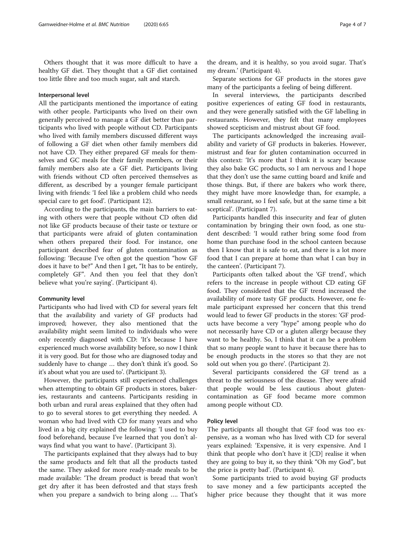Others thought that it was more difficult to have a healthy GF diet. They thought that a GF diet contained too little fibre and too much sugar, salt and starch.

#### Interpersonal level

All the participants mentioned the importance of eating with other people. Participants who lived on their own generally perceived to manage a GF diet better than participants who lived with people without CD. Participants who lived with family members discussed different ways of following a GF diet when other family members did not have CD. They either prepared GF meals for themselves and GC meals for their family members, or their family members also ate a GF diet. Participants living with friends without CD often perceived themselves as different, as described by a younger female participant living with friends: 'I feel like a problem child who needs special care to get food'. (Participant 12).

According to the participants, the main barriers to eating with others were that people without CD often did not like GF products because of their taste or texture or that participants were afraid of gluten contamination when others prepared their food. For instance, one participant described fear of gluten contamination as following: 'Because I've often got the question "how GF does it have to be?" And then I get, "It has to be entirely, completely GF". And then you feel that they don't believe what you're saying'. (Participant 4).

#### Community level

Participants who had lived with CD for several years felt that the availability and variety of GF products had improved; however, they also mentioned that the availability might seem limited to individuals who were only recently diagnosed with CD: 'It's because I have experienced much worse availability before, so now I think it is very good. But for those who are diagnosed today and suddenly have to change … they don't think it's good. So it's about what you are used to'. (Participant 3).

However, the participants still experienced challenges when attempting to obtain GF products in stores, bakeries, restaurants and canteens. Participants residing in both urban and rural areas explained that they often had to go to several stores to get everything they needed. A woman who had lived with CD for many years and who lived in a big city explained the following: 'I used to buy food beforehand, because I've learned that you don't always find what you want to have'. (Participant 3).

The participants explained that they always had to buy the same products and felt that all the products tasted the same. They asked for more ready-made meals to be made available: 'The dream product is bread that won't get dry after it has been defrosted and that stays fresh when you prepare a sandwich to bring along …. That's

the dream, and it is healthy, so you avoid sugar. That's my dream.' (Participant 4).

Separate sections for GF products in the stores gave many of the participants a feeling of being different.

In several interviews, the participants described positive experiences of eating GF food in restaurants, and they were generally satisfied with the GF labelling in restaurants. However, they felt that many employees showed scepticism and mistrust about GF food.

The participants acknowledged the increasing availability and variety of GF products in bakeries. However, mistrust and fear for gluten contamination occurred in this context: 'It's more that I think it is scary because they also bake GC products, so I am nervous and I hope that they don't use the same cutting board and knife and those things. But, if there are bakers who work there, they might have more knowledge than, for example, a small restaurant, so I feel safe, but at the same time a bit sceptical'. (Participant 7).

Participants handled this insecurity and fear of gluten contamination by bringing their own food, as one student described: 'I would rather bring some food from home than purchase food in the school canteen because then I know that it is safe to eat, and there is a lot more food that I can prepare at home than what I can buy in the canteen'. (Participant 7).

Participants often talked about the 'GF trend', which refers to the increase in people without CD eating GF food. They considered that the GF trend increased the availability of more tasty GF products. However, one female participant expressed her concern that this trend would lead to fewer GF products in the stores: 'GF products have become a very "hype" among people who do not necessarily have CD or a gluten allergy because they want to be healthy. So, I think that it can be a problem that so many people want to have it because there has to be enough products in the stores so that they are not sold out when you go there'. (Participant 2).

Several participants considered the GF trend as a threat to the seriousness of the disease. They were afraid that people would be less cautious about glutencontamination as GF food became more common among people without CD.

#### Policy level

The participants all thought that GF food was too expensive, as a woman who has lived with CD for several years explained: 'Expensive, it is very expensive. And I think that people who don't have it [CD] realise it when they are going to buy it, so they think "Oh my God", but the price is pretty bad'. (Participant 4).

Some participants tried to avoid buying GF products to save money and a few participants accepted the higher price because they thought that it was more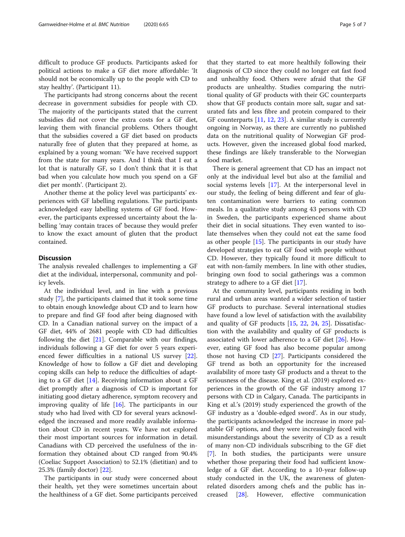difficult to produce GF products. Participants asked for political actions to make a GF diet more affordable: 'It should not be economically up to the people with CD to stay healthy'. (Participant 11).

The participants had strong concerns about the recent decrease in government subsidies for people with CD. The majority of the participants stated that the current subsidies did not cover the extra costs for a GF diet, leaving them with financial problems. Others thought that the subsidies covered a GF diet based on products naturally free of gluten that they prepared at home, as explained by a young woman: 'We have received support from the state for many years. And I think that I eat a lot that is naturally GF, so I don't think that it is that bad when you calculate how much you spend on a GF diet per month'. (Participant 2).

Another theme at the policy level was participants' experiences with GF labelling regulations. The participants acknowledged easy labelling systems of GF food. However, the participants expressed uncertainty about the labelling 'may contain traces of' because they would prefer to know the exact amount of gluten that the product contained.

#### **Discussion**

The analysis revealed challenges to implementing a GF diet at the individual, interpersonal, community and policy levels.

At the individual level, and in line with a previous study [[7\]](#page-6-0), the participants claimed that it took some time to obtain enough knowledge about CD and to learn how to prepare and find GF food after being diagnosed with CD. In a Canadian national survey on the impact of a GF diet, 44% of 2681 people with CD had difficulties following the diet  $[21]$ . Comparable with our findings, individuals following a GF diet for over 5 years experienced fewer difficulties in a national US survey [\[22](#page-6-0)]. Knowledge of how to follow a GF diet and developing coping skills can help to reduce the difficulties of adapting to a GF diet [[14](#page-6-0)]. Receiving information about a GF diet promptly after a diagnosis of CD is important for initiating good dietary adherence, symptom recovery and improving quality of life [\[16](#page-6-0)]. The participants in our study who had lived with CD for several years acknowledged the increased and more readily available information about CD in recent years. We have not explored their most important sources for information in detail. Canadians with CD perceived the usefulness of the information they obtained about CD ranged from 90.4% (Coeliac Support Association) to 52.1% (dietitian) and to 25.3% (family doctor) [\[22](#page-6-0)].

The participants in our study were concerned about their health, yet they were sometimes uncertain about the healthiness of a GF diet. Some participants perceived

that they started to eat more healthily following their diagnosis of CD since they could no longer eat fast food and unhealthy food. Others were afraid that the GF products are unhealthy. Studies comparing the nutritional quality of GF products with their GC counterparts show that GF products contain more salt, sugar and saturated fats and less fibre and protein compared to their GF counterparts  $[11, 12, 23]$  $[11, 12, 23]$  $[11, 12, 23]$  $[11, 12, 23]$  $[11, 12, 23]$ . A similar study is currently ongoing in Norway, as there are currently no published data on the nutritional quality of Norwegian GF products. However, given the increased global food marked, these findings are likely transferable to the Norwegian food market.

There is general agreement that CD has an impact not only at the individual level but also at the familial and social systems levels [[17\]](#page-6-0). At the interpersonal level in our study, the feeling of being different and fear of gluten contamination were barriers to eating common meals. In a qualitative study among 43 persons with CD in Sweden, the participants experienced shame about their diet in social situations. They even wanted to isolate themselves when they could not eat the same food as other people [\[15](#page-6-0)]. The participants in our study have developed strategies to eat GF food with people without CD. However, they typically found it more difficult to eat with non-family members. In line with other studies, bringing own food to social gatherings was a common strategy to adhere to a GF diet [\[17](#page-6-0)].

At the community level, participants residing in both rural and urban areas wanted a wider selection of tastier GF products to purchase. Several international studies have found a low level of satisfaction with the availability and quality of GF products [[15,](#page-6-0) [22](#page-6-0), [24](#page-6-0), [25](#page-6-0)]. Dissatisfaction with the availability and quality of GF products is associated with lower adherence to a GF diet [\[26\]](#page-6-0). However, eating GF food has also become popular among those not having CD [[27](#page-6-0)]. Participants considered the GF trend as both an opportunity for the increased availability of more tasty GF products and a threat to the seriousness of the disease. King et al. (2019) explored experiences in the growth of the GF industry among 17 persons with CD in Calgary, Canada. The participants in King et al.'s (2019) study experienced the growth of the GF industry as a 'double-edged sword'. As in our study, the participants acknowledged the increase in more palatable GF options, and they were increasingly faced with misunderstandings about the severity of CD as a result of many non-CD individuals subscribing to the GF diet [[7\]](#page-6-0). In both studies, the participants were unsure whether those preparing their food had sufficient knowledge of a GF diet. According to a 10-year follow-up study conducted in the UK, the awareness of glutenrelated disorders among chefs and the public has increased [\[28](#page-6-0)]. However, effective communication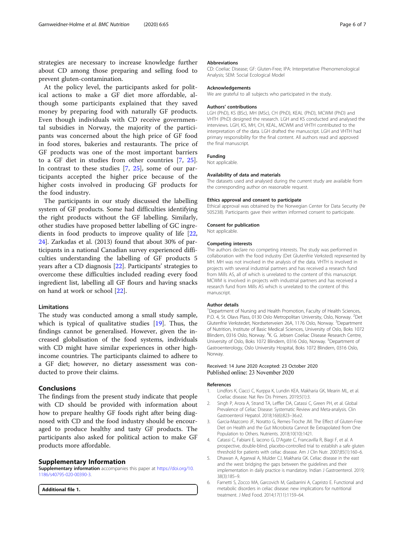<span id="page-5-0"></span>strategies are necessary to increase knowledge further about CD among those preparing and selling food to prevent gluten-contamination.

At the policy level, the participants asked for political actions to make a GF diet more affordable, although some participants explained that they saved money by preparing food with naturally GF products. Even though individuals with CD receive governmental subsidies in Norway, the majority of the participants was concerned about the high price of GF food in food stores, bakeries and restaurants. The price of GF products was one of the most important barriers to a GF diet in studies from other countries [[7](#page-6-0), [25](#page-6-0)]. In contrast to these studies [[7,](#page-6-0) [25\]](#page-6-0), some of our participants accepted the higher price because of the higher costs involved in producing GF products for the food industry.

The participants in our study discussed the labelling system of GF products. Some had difficulties identifying the right products without the GF labelling. Similarly, other studies have proposed better labelling of GC ingredients in food products to improve quality of life [[22](#page-6-0), [24\]](#page-6-0). Zarkadas et al. (2013) found that about 30% of participants in a national Canadian survey experienced difficulties understanding the labelling of GF products 5 years after a CD diagnosis [[22\]](#page-6-0). Participants' strategies to overcome these difficulties included reading every food ingredient list, labelling all GF flours and having snacks on hand at work or school [[22](#page-6-0)].

#### Limitations

The study was conducted among a small study sample, which is typical of qualitative studies [[19](#page-6-0)]. Thus, the findings cannot be generalised. However, given the increased globalisation of the food systems, individuals with CD might have similar experiences in other highincome countries. The participants claimed to adhere to a GF diet; however, no dietary assessment was conducted to prove their claims.

#### Conclusions

The findings from the present study indicate that people with CD should be provided with information about how to prepare healthy GF foods right after being diagnosed with CD and the food industry should be encouraged to produce healthy and tasty GF products. The participants also asked for political action to make GF products more affordable.

#### Supplementary Information

Supplementary information accompanies this paper at [https://doi.org/10.](https://doi.org/10.1186/s40795-020-00390-3) [1186/s40795-020-00390-3](https://doi.org/10.1186/s40795-020-00390-3).

Additional file 1.

#### Abbreviations

CD: Coeliac Disease; GF: Gluten-Free; IPA: Interpretative Phenomenological Analysis; SEM: Social Ecological Model

#### Acknowledgements

We are grateful to all subjects who participated in the study.

#### Authors' contributions

LGH (PhD), KS (BSc), MH (MSc), CH (PhD), KEAL (PhD), MCWM (PhD) and VHTH (PhD) designed the research. LGH and KS conducted and analysed the interviews. LGH, KS, MH, CH, KEAL, MCWM and VHTH contributed to the interpretation of the data. LGH drafted the manuscript. LGH and VHTH had primary responsibility for the final content. All authors read and approved the final manuscript.

#### Funding

Not applicable.

#### Availability of data and materials

The datasets used and analysed during the current study are available from the corresponding author on reasonable request.

#### Ethics approval and consent to participate

Ethical approval was obtained by the Norwegian Center for Data Security (Nr 505238). Participants gave their written informed consent to participate.

#### Consent for publication

Not applicable.

#### Competing interests

The authors declare no competing interests. The study was performed in collaboration with the food industry (Det Glutenfrie Verksted) represented by MH. MH was not involved in the analysis of the data. VHTH is involved in projects with several industrial partners and has received a research fund from Mills AS, all of which is unrelated to the content of this manuscript. MCWM is involved in projects with industrial partners and has received a research fund from Mills AS which is unrelated to the content of this manuscript.

#### Author details

<sup>1</sup>Department of Nursing and Health Promotion, Faculty of Health Sciences, P.O. 4, St. Olavs Plass, 0130 Oslo Metropolitan University, Oslo, Norway. <sup>2</sup>Det Glutenfrie Verkstedet, Nordseterveien 26A, 1176 Oslo, Norway. <sup>3</sup>Department of Nutrition, Institute of Basic Medical Sciences, University of Oslo, Boks 1072 Blindern, 0316 Oslo, Norway. <sup>4</sup>K. G. Jebsen Coeliac Disease Research Centre, University of Oslo, Boks 1072 Blindern, 0316 Oslo, Norway. <sup>5</sup>Department of Gastroenterology, Oslo University Hospital, Boks 1072 Blindern, 0316 Oslo, Norway.

#### Received: 14 June 2020 Accepted: 23 October 2020 Published online: 23 November 2020

#### References

- 1. Lindfors K, Ciacci C, Kurppa K, Lundin KEA, Makharia GK, Mearin ML, et al. Coeliac disease. Nat Rev Dis Primers. 2019;5(1):3.
- 2. Singh P, Arora A, Strand TA, Leffler DA, Catassi C, Green PH, et al. Global Prevalence of Celiac Disease: Systematic Review and Meta-analysis. Clin Gastroenterol Hepatol. 2018;16(6):823–36.e2.
- 3. Garcia-Mazcorro JF, Noratto G, Remes-Troche JM. The Effect of Gluten-Free Diet on Health and the Gut Microbiota Cannot Be Extrapolated from One Population to Others. Nutrients. 2018;10(10):1421.
- 4. Catassi C, Fabiani E, Iacono G, D'Agate C, Francavilla R, Biagi F, et al. A prospective, double-blind, placebo-controlled trial to establish a safe gluten threshold for patients with celiac disease. Am J Clin Nutr. 2007;85(1):160–6.
- 5. Dhawan A, Agarwal A, Mulder CJ, Makharia GK. Celiac disease in the east and the west: bridging the gaps between the guidelines and their implementation in daily practice is mandatory. Indian J Gastroenterol. 2019; 38(3):185–9.
- 6. Farnetti S, Zocco MA, Garcovich M, Gasbarrini A, Capristo E. Functional and metabolic disorders in celiac disease: new implications for nutritional treatment. J Med Food. 2014;17(11):1159–64.